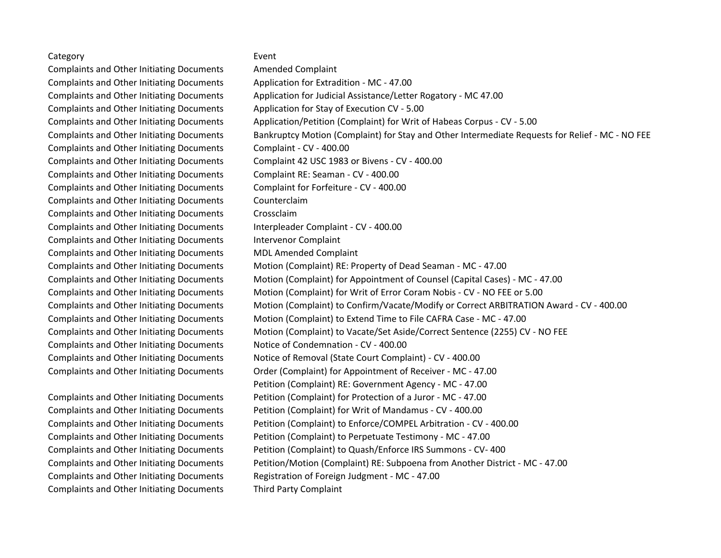## Category **Exercise Event**

Complaints and Other Initiating Documents Amended Complaint Complaints and Other Initiating Documents Application for Extradition - MC - 47.00 Complaints and Other Initiating Documents Application for Stay of Execution CV - 5.00 Complaints and Other Initiating Documents Complaint - CV - 400.00 Complaints and Other Initiating Documents Complaint RE: Seaman - CV - 400.00 Complaints and Other Initiating Documents Complaint for Forfeiture - CV - 400.00 Complaints and Other Initiating Documents Counterclaim Complaints and Other Initiating Documents Crossclaim Complaints and Other Initiating Documents Interpleader Complaint - CV - 400.00 Complaints and Other Initiating Documents Intervenor Complaint Complaints and Other Initiating Documents MDL Amended Complaint Complaints and Other Initiating Documents Notice of Condemnation - CV - 400.00

Complaints and Other Initiating Documents Third Party Complaint

Complaints and Other Initiating Documents Application for Judicial Assistance/Letter Rogatory - MC 47.00 Complaints and Other Initiating Documents Application/Petition (Complaint) for Writ of Habeas Corpus - CV - 5.00 Complaints and Other Initiating Documents Bankruptcy Motion (Complaint) for Stay and Other Intermediate Requests for Relief - MC - NO FEE Complaints and Other Initiating Documents Complaint 42 USC 1983 or Bivens - CV - 400.00 Complaints and Other Initiating Documents Motion (Complaint) RE: Property of Dead Seaman - MC - 47.00 Complaints and Other Initiating Documents Motion (Complaint) for Appointment of Counsel (Capital Cases) - MC - 47.00 Complaints and Other Initiating Documents Motion (Complaint) for Writ of Error Coram Nobis - CV - NO FEE or 5.00 Complaints and Other Initiating Documents Motion (Complaint) to Confirm/Vacate/Modify or Correct ARBITRATION Award - CV - 400.00 Complaints and Other Initiating Documents Motion (Complaint) to Extend Time to File CAFRA Case - MC - 47.00 Complaints and Other Initiating Documents Motion (Complaint) to Vacate/Set Aside/Correct Sentence (2255) CV - NO FEE Complaints and Other Initiating Documents Notice of Removal (State Court Complaint) - CV - 400.00 Complaints and Other Initiating Documents Order (Complaint) for Appointment of Receiver - MC - 47.00 Petition (Complaint) RE: Government Agency - MC - 47.00 Complaints and Other Initiating Documents Petition (Complaint) for Protection of a Juror - MC - 47.00 Complaints and Other Initiating Documents Petition (Complaint) for Writ of Mandamus - CV - 400.00 Complaints and Other Initiating Documents Petition (Complaint) to Enforce/COMPEL Arbitration - CV - 400.00 Complaints and Other Initiating Documents Petition (Complaint) to Perpetuate Testimony - MC - 47.00 Complaints and Other Initiating Documents Petition (Complaint) to Quash/Enforce IRS Summons - CV- 400 Complaints and Other Initiating Documents Petition/Motion (Complaint) RE: Subpoena from Another District - MC - 47.00 Complaints and Other Initiating Documents Registration of Foreign Judgment - MC - 47.00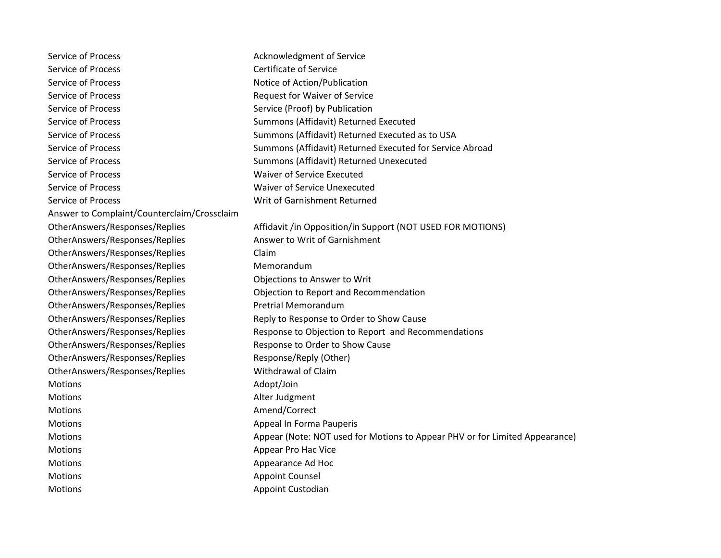| <b>Service of Process</b>                   | Acknowledgment of Service                                                   |
|---------------------------------------------|-----------------------------------------------------------------------------|
| <b>Service of Process</b>                   | <b>Certificate of Service</b>                                               |
| <b>Service of Process</b>                   | Notice of Action/Publication                                                |
| <b>Service of Process</b>                   | Request for Waiver of Service                                               |
| Service of Process                          | Service (Proof) by Publication                                              |
| Service of Process                          | Summons (Affidavit) Returned Executed                                       |
| Service of Process                          | Summons (Affidavit) Returned Executed as to USA                             |
| Service of Process                          | Summons (Affidavit) Returned Executed for Service Abroad                    |
| <b>Service of Process</b>                   | Summons (Affidavit) Returned Unexecuted                                     |
| <b>Service of Process</b>                   | Waiver of Service Executed                                                  |
| Service of Process                          | <b>Waiver of Service Unexecuted</b>                                         |
| Service of Process                          | Writ of Garnishment Returned                                                |
| Answer to Complaint/Counterclaim/Crossclaim |                                                                             |
| OtherAnswers/Responses/Replies              | Affidavit /in Opposition/in Support (NOT USED FOR MOTIONS)                  |
| OtherAnswers/Responses/Replies              | Answer to Writ of Garnishment                                               |
| OtherAnswers/Responses/Replies              | Claim                                                                       |
| OtherAnswers/Responses/Replies              | Memorandum                                                                  |
| OtherAnswers/Responses/Replies              | Objections to Answer to Writ                                                |
| OtherAnswers/Responses/Replies              | Objection to Report and Recommendation                                      |
| OtherAnswers/Responses/Replies              | <b>Pretrial Memorandum</b>                                                  |
| OtherAnswers/Responses/Replies              | Reply to Response to Order to Show Cause                                    |
| OtherAnswers/Responses/Replies              | Response to Objection to Report and Recommendations                         |
| OtherAnswers/Responses/Replies              | Response to Order to Show Cause                                             |
| OtherAnswers/Responses/Replies              | Response/Reply (Other)                                                      |
| OtherAnswers/Responses/Replies              | Withdrawal of Claim                                                         |
| <b>Motions</b>                              | Adopt/Join                                                                  |
| <b>Motions</b>                              | Alter Judgment                                                              |
| <b>Motions</b>                              | Amend/Correct                                                               |
| <b>Motions</b>                              | Appeal In Forma Pauperis                                                    |
| Motions                                     | Appear (Note: NOT used for Motions to Appear PHV or for Limited Appearance) |
| Motions                                     |                                                                             |
| <b>Motions</b>                              | Appear Pro Hac Vice                                                         |
|                                             | Appearance Ad Hoc                                                           |
| <b>Motions</b>                              | <b>Appoint Counsel</b>                                                      |
| Motions                                     | <b>Appoint Custodian</b>                                                    |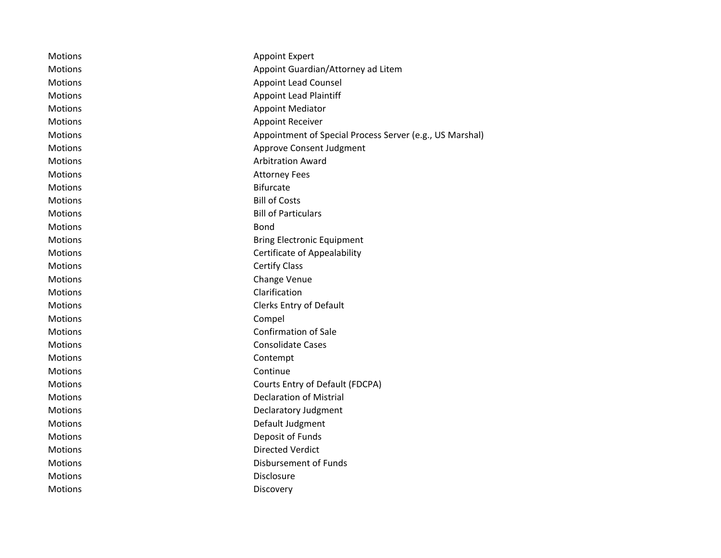| <b>Motions</b> | <b>Appoint Expert</b>                                    |
|----------------|----------------------------------------------------------|
| <b>Motions</b> | Appoint Guardian/Attorney ad Litem                       |
| <b>Motions</b> | Appoint Lead Counsel                                     |
| <b>Motions</b> | <b>Appoint Lead Plaintiff</b>                            |
| <b>Motions</b> | <b>Appoint Mediator</b>                                  |
| Motions        | <b>Appoint Receiver</b>                                  |
| Motions        | Appointment of Special Process Server (e.g., US Marshal) |
| Motions        | Approve Consent Judgment                                 |
| <b>Motions</b> | <b>Arbitration Award</b>                                 |
| <b>Motions</b> | <b>Attorney Fees</b>                                     |
| <b>Motions</b> | <b>Bifurcate</b>                                         |
| Motions        | <b>Bill of Costs</b>                                     |
| Motions        | <b>Bill of Particulars</b>                               |
| Motions        | Bond                                                     |
| <b>Motions</b> | <b>Bring Electronic Equipment</b>                        |
| <b>Motions</b> | Certificate of Appealability                             |
| <b>Motions</b> | <b>Certify Class</b>                                     |
| <b>Motions</b> | Change Venue                                             |
| <b>Motions</b> | Clarification                                            |
| Motions        | Clerks Entry of Default                                  |
| Motions        | Compel                                                   |
| Motions        | <b>Confirmation of Sale</b>                              |
| Motions        | <b>Consolidate Cases</b>                                 |
| Motions        | Contempt                                                 |
| Motions        | Continue                                                 |
| Motions        | Courts Entry of Default (FDCPA)                          |
| Motions        | <b>Declaration of Mistrial</b>                           |
| Motions        | Declaratory Judgment                                     |
| <b>Motions</b> | Default Judgment                                         |
| <b>Motions</b> | Deposit of Funds                                         |
| <b>Motions</b> | <b>Directed Verdict</b>                                  |
| <b>Motions</b> | Disbursement of Funds                                    |
| <b>Motions</b> | Disclosure                                               |
| Motions        | Discovery                                                |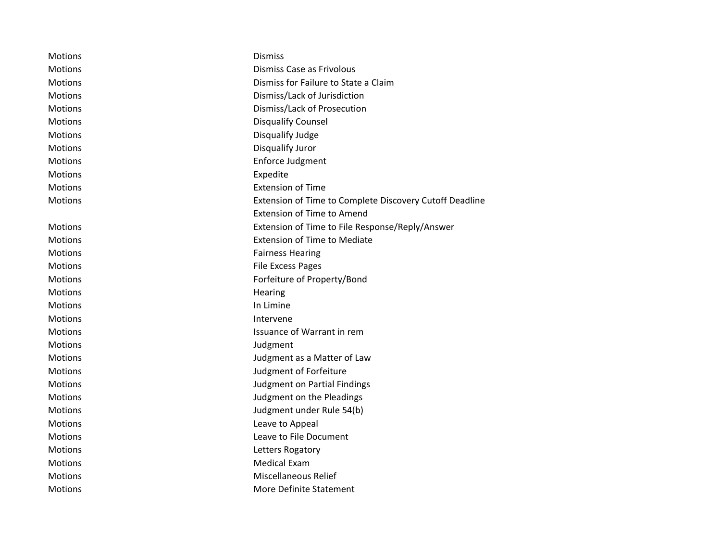| Motions        | <b>Dismiss</b>                                          |
|----------------|---------------------------------------------------------|
| <b>Motions</b> | Dismiss Case as Frivolous                               |
| <b>Motions</b> | Dismiss for Failure to State a Claim                    |
| Motions        | Dismiss/Lack of Jurisdiction                            |
| <b>Motions</b> | Dismiss/Lack of Prosecution                             |
| Motions        | <b>Disqualify Counsel</b>                               |
| Motions        | Disqualify Judge                                        |
| <b>Motions</b> | Disqualify Juror                                        |
| Motions        | Enforce Judgment                                        |
| <b>Motions</b> | Expedite                                                |
| <b>Motions</b> | <b>Extension of Time</b>                                |
| <b>Motions</b> | Extension of Time to Complete Discovery Cutoff Deadline |
|                | <b>Extension of Time to Amend</b>                       |
| <b>Motions</b> | Extension of Time to File Response/Reply/Answer         |
| Motions        | <b>Extension of Time to Mediate</b>                     |
| Motions        | <b>Fairness Hearing</b>                                 |
| <b>Motions</b> | <b>File Excess Pages</b>                                |
| <b>Motions</b> | Forfeiture of Property/Bond                             |
| <b>Motions</b> | Hearing                                                 |
| Motions        | In Limine                                               |
| <b>Motions</b> | Intervene                                               |
| Motions        | Issuance of Warrant in rem                              |
| <b>Motions</b> | Judgment                                                |
| <b>Motions</b> | Judgment as a Matter of Law                             |
| <b>Motions</b> | Judgment of Forfeiture                                  |
| Motions        | <b>Judgment on Partial Findings</b>                     |
| Motions        | Judgment on the Pleadings                               |
| <b>Motions</b> | Judgment under Rule 54(b)                               |
| Motions        | Leave to Appeal                                         |
| Motions        | Leave to File Document                                  |
| <b>Motions</b> | Letters Rogatory                                        |
| <b>Motions</b> | Medical Exam                                            |
| <b>Motions</b> | Miscellaneous Relief                                    |
| Motions        | More Definite Statement                                 |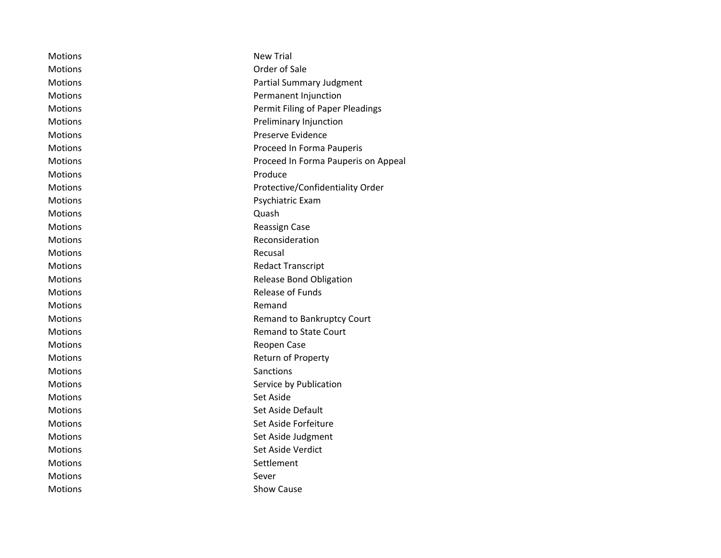| Motions        | <b>New Trial</b>                    |
|----------------|-------------------------------------|
| <b>Motions</b> | Order of Sale                       |
| <b>Motions</b> | <b>Partial Summary Judgment</b>     |
| <b>Motions</b> | Permanent Injunction                |
| <b>Motions</b> | Permit Filing of Paper Pleadings    |
| <b>Motions</b> | Preliminary Injunction              |
| <b>Motions</b> | Preserve Evidence                   |
| <b>Motions</b> | Proceed In Forma Pauperis           |
| <b>Motions</b> | Proceed In Forma Pauperis on Appeal |
| <b>Motions</b> | Produce                             |
| <b>Motions</b> | Protective/Confidentiality Order    |
| <b>Motions</b> | Psychiatric Exam                    |
| <b>Motions</b> | Quash                               |
| <b>Motions</b> | Reassign Case                       |
| <b>Motions</b> | Reconsideration                     |
| <b>Motions</b> | Recusal                             |
| <b>Motions</b> | <b>Redact Transcript</b>            |
| <b>Motions</b> | <b>Release Bond Obligation</b>      |
| <b>Motions</b> | Release of Funds                    |
| <b>Motions</b> | Remand                              |
| <b>Motions</b> | Remand to Bankruptcy Court          |
| <b>Motions</b> | <b>Remand to State Court</b>        |
| <b>Motions</b> | Reopen Case                         |
| <b>Motions</b> | Return of Property                  |
| Motions        | Sanctions                           |
| <b>Motions</b> | Service by Publication              |
| <b>Motions</b> | Set Aside                           |
| <b>Motions</b> | Set Aside Default                   |
| <b>Motions</b> | Set Aside Forfeiture                |
| <b>Motions</b> | Set Aside Judgment                  |
| <b>Motions</b> | Set Aside Verdict                   |
| <b>Motions</b> | Settlement                          |
| <b>Motions</b> | Sever                               |
| Motions        | <b>Show Cause</b>                   |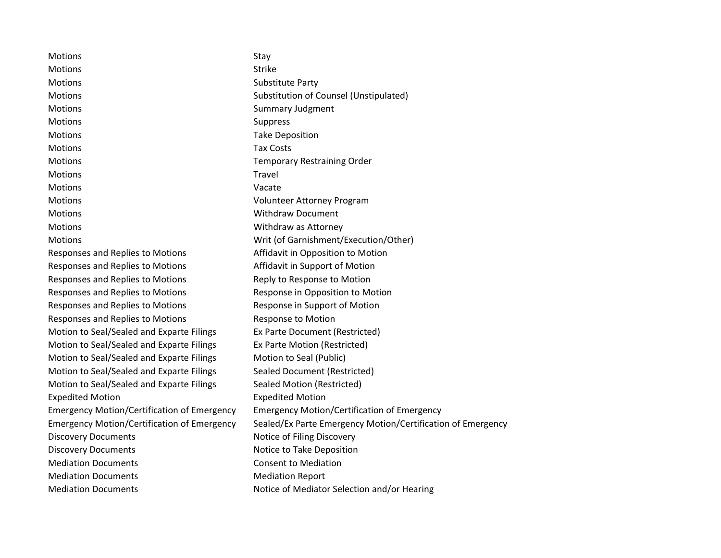| Strike<br><b>Motions</b><br><b>Motions</b><br>Substitute Party<br>Motions<br>Substitution of Counsel (Unstipulated)<br><b>Motions</b><br><b>Summary Judgment</b><br><b>Motions</b><br>Suppress<br><b>Take Deposition</b><br><b>Motions</b><br><b>Tax Costs</b><br><b>Motions</b><br>Motions<br><b>Temporary Restraining Order</b><br>Travel<br><b>Motions</b><br><b>Motions</b><br>Vacate<br>Motions<br>Volunteer Attorney Program<br><b>Motions</b><br><b>Withdraw Document</b><br><b>Motions</b><br>Withdraw as Attorney | Motions | Stay                                                        |
|----------------------------------------------------------------------------------------------------------------------------------------------------------------------------------------------------------------------------------------------------------------------------------------------------------------------------------------------------------------------------------------------------------------------------------------------------------------------------------------------------------------------------|---------|-------------------------------------------------------------|
|                                                                                                                                                                                                                                                                                                                                                                                                                                                                                                                            |         |                                                             |
|                                                                                                                                                                                                                                                                                                                                                                                                                                                                                                                            |         |                                                             |
|                                                                                                                                                                                                                                                                                                                                                                                                                                                                                                                            |         |                                                             |
|                                                                                                                                                                                                                                                                                                                                                                                                                                                                                                                            |         |                                                             |
|                                                                                                                                                                                                                                                                                                                                                                                                                                                                                                                            |         |                                                             |
|                                                                                                                                                                                                                                                                                                                                                                                                                                                                                                                            |         |                                                             |
|                                                                                                                                                                                                                                                                                                                                                                                                                                                                                                                            |         |                                                             |
|                                                                                                                                                                                                                                                                                                                                                                                                                                                                                                                            |         |                                                             |
|                                                                                                                                                                                                                                                                                                                                                                                                                                                                                                                            |         |                                                             |
|                                                                                                                                                                                                                                                                                                                                                                                                                                                                                                                            |         |                                                             |
|                                                                                                                                                                                                                                                                                                                                                                                                                                                                                                                            |         |                                                             |
|                                                                                                                                                                                                                                                                                                                                                                                                                                                                                                                            |         |                                                             |
|                                                                                                                                                                                                                                                                                                                                                                                                                                                                                                                            |         |                                                             |
| <b>Motions</b><br>Writ (of Garnishment/Execution/Other)                                                                                                                                                                                                                                                                                                                                                                                                                                                                    |         |                                                             |
| Affidavit in Opposition to Motion<br>Responses and Replies to Motions                                                                                                                                                                                                                                                                                                                                                                                                                                                      |         |                                                             |
| Affidavit in Support of Motion<br>Responses and Replies to Motions                                                                                                                                                                                                                                                                                                                                                                                                                                                         |         |                                                             |
| Responses and Replies to Motions<br>Reply to Response to Motion                                                                                                                                                                                                                                                                                                                                                                                                                                                            |         |                                                             |
| Responses and Replies to Motions<br>Response in Opposition to Motion                                                                                                                                                                                                                                                                                                                                                                                                                                                       |         |                                                             |
| Responses and Replies to Motions<br>Response in Support of Motion                                                                                                                                                                                                                                                                                                                                                                                                                                                          |         |                                                             |
| Responses and Replies to Motions<br>Response to Motion                                                                                                                                                                                                                                                                                                                                                                                                                                                                     |         |                                                             |
| Motion to Seal/Sealed and Exparte Filings<br>Ex Parte Document (Restricted)                                                                                                                                                                                                                                                                                                                                                                                                                                                |         |                                                             |
| Motion to Seal/Sealed and Exparte Filings<br>Ex Parte Motion (Restricted)                                                                                                                                                                                                                                                                                                                                                                                                                                                  |         |                                                             |
| Motion to Seal/Sealed and Exparte Filings<br>Motion to Seal (Public)                                                                                                                                                                                                                                                                                                                                                                                                                                                       |         |                                                             |
| <b>Sealed Document (Restricted)</b><br>Motion to Seal/Sealed and Exparte Filings                                                                                                                                                                                                                                                                                                                                                                                                                                           |         |                                                             |
| Motion to Seal/Sealed and Exparte Filings<br>Sealed Motion (Restricted)                                                                                                                                                                                                                                                                                                                                                                                                                                                    |         |                                                             |
| <b>Expedited Motion</b><br><b>Expedited Motion</b>                                                                                                                                                                                                                                                                                                                                                                                                                                                                         |         |                                                             |
| <b>Emergency Motion/Certification of Emergency</b><br><b>Emergency Motion/Certification of Emergency</b>                                                                                                                                                                                                                                                                                                                                                                                                                   |         |                                                             |
| <b>Emergency Motion/Certification of Emergency</b>                                                                                                                                                                                                                                                                                                                                                                                                                                                                         |         | Sealed/Ex Parte Emergency Motion/Certification of Emergency |
| <b>Discovery Documents</b><br>Notice of Filing Discovery                                                                                                                                                                                                                                                                                                                                                                                                                                                                   |         |                                                             |
| <b>Discovery Documents</b><br>Notice to Take Deposition                                                                                                                                                                                                                                                                                                                                                                                                                                                                    |         |                                                             |
| <b>Consent to Mediation</b><br><b>Mediation Documents</b>                                                                                                                                                                                                                                                                                                                                                                                                                                                                  |         |                                                             |
| <b>Mediation Documents</b><br><b>Mediation Report</b>                                                                                                                                                                                                                                                                                                                                                                                                                                                                      |         |                                                             |
| <b>Mediation Documents</b><br>Notice of Mediator Selection and/or Hearing                                                                                                                                                                                                                                                                                                                                                                                                                                                  |         |                                                             |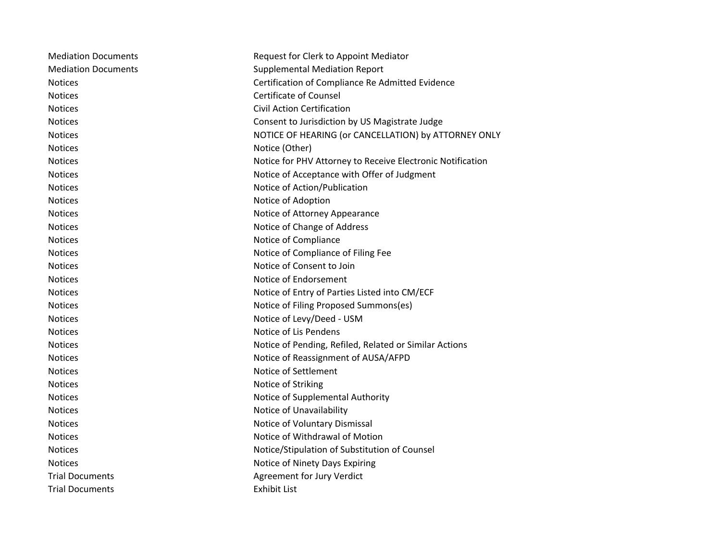| <b>Mediation Documents</b> | Request for Clerk to Appoint Mediator                      |
|----------------------------|------------------------------------------------------------|
| <b>Mediation Documents</b> | <b>Supplemental Mediation Report</b>                       |
| <b>Notices</b>             | Certification of Compliance Re Admitted Evidence           |
| <b>Notices</b>             | <b>Certificate of Counsel</b>                              |
| <b>Notices</b>             | <b>Civil Action Certification</b>                          |
| <b>Notices</b>             | Consent to Jurisdiction by US Magistrate Judge             |
| <b>Notices</b>             | NOTICE OF HEARING (or CANCELLATION) by ATTORNEY ONLY       |
| <b>Notices</b>             | Notice (Other)                                             |
| <b>Notices</b>             | Notice for PHV Attorney to Receive Electronic Notification |
| <b>Notices</b>             | Notice of Acceptance with Offer of Judgment                |
| <b>Notices</b>             | Notice of Action/Publication                               |
| <b>Notices</b>             | Notice of Adoption                                         |
| <b>Notices</b>             | Notice of Attorney Appearance                              |
| <b>Notices</b>             | Notice of Change of Address                                |
| <b>Notices</b>             | Notice of Compliance                                       |
| <b>Notices</b>             | Notice of Compliance of Filing Fee                         |
| <b>Notices</b>             | Notice of Consent to Join                                  |
| <b>Notices</b>             | Notice of Endorsement                                      |
| <b>Notices</b>             | Notice of Entry of Parties Listed into CM/ECF              |
| <b>Notices</b>             | Notice of Filing Proposed Summons(es)                      |
| <b>Notices</b>             | Notice of Levy/Deed - USM                                  |
| <b>Notices</b>             | Notice of Lis Pendens                                      |
| <b>Notices</b>             | Notice of Pending, Refiled, Related or Similar Actions     |
| <b>Notices</b>             | Notice of Reassignment of AUSA/AFPD                        |
| <b>Notices</b>             | Notice of Settlement                                       |
| <b>Notices</b>             | Notice of Striking                                         |
| <b>Notices</b>             | Notice of Supplemental Authority                           |
| <b>Notices</b>             | Notice of Unavailability                                   |
| <b>Notices</b>             | Notice of Voluntary Dismissal                              |
| <b>Notices</b>             | Notice of Withdrawal of Motion                             |
| <b>Notices</b>             | Notice/Stipulation of Substitution of Counsel              |
| <b>Notices</b>             | Notice of Ninety Days Expiring                             |
| <b>Trial Documents</b>     | Agreement for Jury Verdict                                 |
| <b>Trial Documents</b>     | <b>Exhibit List</b>                                        |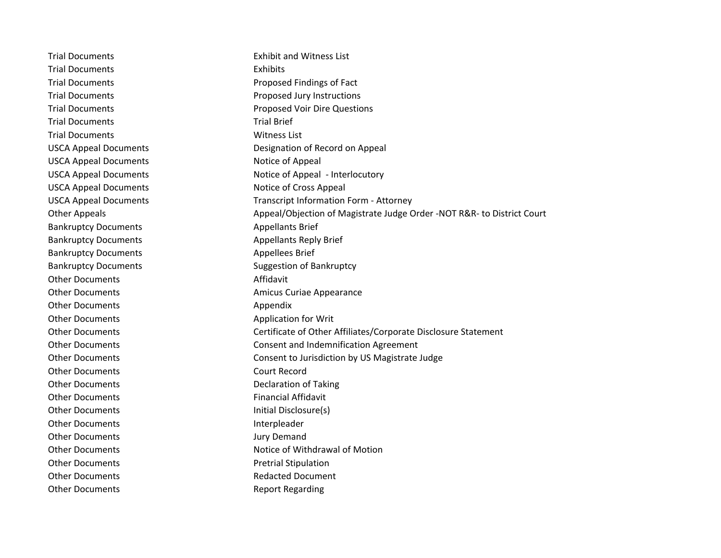Trial Documents Exhibit and Witness List Trial Documents **Exhibits** Trial Documents **Proposed Findings of Fact** Trial Documents **Proposed Jury Instructions** Trial Documents **Proposed Voir Dire Questions** Trial Documents Trial Brief Trial Documents Witness List USCA Appeal Documents Designation of Record on Appeal USCA Appeal Documents Notice of Appeal USCA Appeal Documents Notice of Appeal - Interlocutory USCA Appeal Documents Notice of Cross Appeal USCA Appeal Documents Transcript Information Form - Attorney Other Appeals Appeal/Objection of Magistrate Judge Order -NOT R&R- to District Court Bankruptcy Documents **Appellants** Brief Bankruptcy Documents **Appellants Reply Brief** Appellants Reply Brief Bankruptcy Documents **Appellees** Brief Bankruptcy Documents Suggestion of Bankruptcy Other Documents **Affidavit** Other Documents **Amicus** Curiae Appearance Other Documents **Appendix** Other Documents **Application for Writ** Other Documents Certificate of Other Affiliates/Corporate Disclosure Statement Other Documents Consent and Indemnification Agreement Other Documents Consent to Jurisdiction by US Magistrate Judge Other Documents Court Record Other Documents Declaration of Taking Other Documents **Financial Affidavit** Other Documents **Initial Disclosure(s)** Other Documents and Interpleader Other Documents **Jury Demand** Other Documents **Notifiant Community** Notice of Withdrawal of Motion Other Documents **Pretrial Stipulation** Other Documents **Redacted Document** Other Documents **Report Regarding**